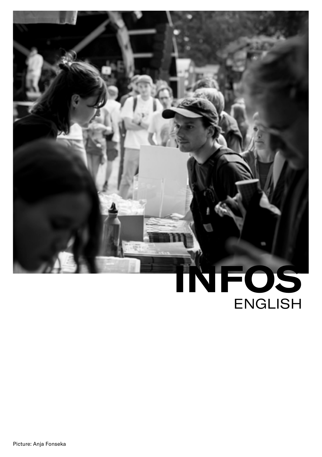# **INFOS** ENGLISH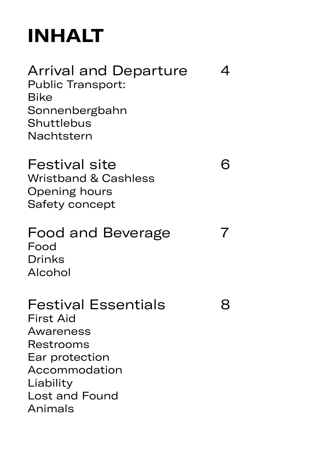## **INHALT**

[Arrival and Departure 4](#page-3-0) [Public Transport:](#page-3-0)  [Bike](#page-4-0) [Sonnenbergbahn](#page-4-0) [Shuttlebus](#page-4-0) [Nachtstern](#page-4-0) [Festival site 6](#page-5-0) [Wristband & Cashless](#page-5-0) [Opening hours](#page-5-0) [Safety concept](#page-5-0) [Food and Beverage 7](#page-6-0) [Food](#page-6-0)  [Drinks](#page-6-0) [Alcohol](#page-6-0) [Festival Essentials 8](#page-7-0) [First Aid](#page-7-0) [Awareness](#page-7-0)  [Restrooms](#page-7-0) [Ear protection](#page-7-0) [Accommodation](#page-7-0) [Liability](#page-7-0) [Lost and Found](#page-8-0)  [Animals](#page-8-0)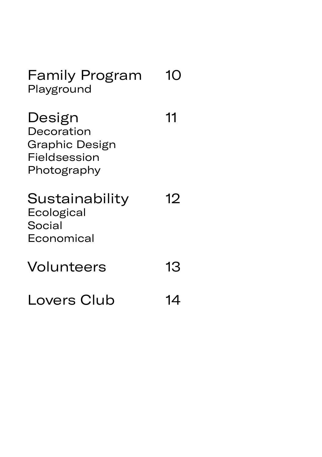[Family Program](#page-9-0) 10 [Playground](#page-9-0)

[Design 11](#page-10-0) [Decoration](#page-10-0) [Graphic Design](#page-10-0) [Fieldsession](#page-10-0) [Photography](#page-10-0)

#### [Sustainability 12](#page-11-0) [Ecological](#page-11-0) [Social](#page-11-0) [Economical](#page-11-0)

[Volunteers 13](#page-12-0)

[Lovers Club 14](#page-13-0)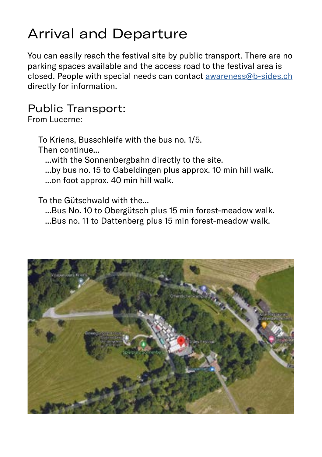## <span id="page-3-0"></span>Arrival and Departure

You can easily reach the festival site by public transport. There are no parking spaces available and the access road to the festival area is closed. People with special needs can contact [awareness@b-sides.ch](mailto:awareness%40b-sides.ch?subject=Questions%20about%20the%20festival) directly for information.

#### Public Transport:

From Lucerne:

To Kriens, Busschleife with the bus no. 1/5.

Then continue...

...with the Sonnenbergbahn directly to the site.

...by bus no. 15 to Gabeldingen plus approx. 10 min hill walk.

...on foot approx. 40 min hill walk.

#### To the Gütschwald with the...

...Bus No. 10 to Obergütsch plus 15 min forest-meadow walk.

...Bus no. 11 to Dattenberg plus 15 min forest-meadow walk.

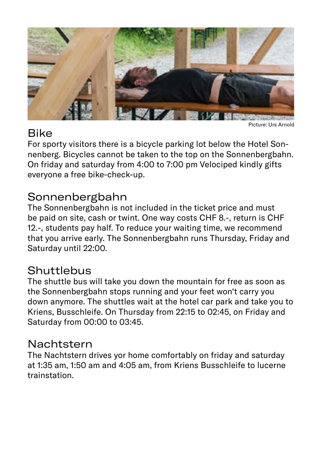<span id="page-4-0"></span>

#### Bike

Picture: Urs Arnold

For sporty visitors there is a bicycle parking lot below the Hotel Sonnenberg. Bicycles cannot be taken to the top on the Sonnenbergbahn. On friday and saturday from 4:00 to 7:00 pm Velociped kindly gifts everyone a free bike-check-up.

#### Sonnenbergbahn

The Sonnenbergbahn is not included in the ticket price and must be paid on site, cash or twint. One way costs CHF 8.-, return is CHF 12.-, students pay half. To reduce your waiting time, we recommend that you arrive early. The Sonnenbergbahn runs Thursday, Friday and Saturday until 22:00.

#### **Shuttlebus**

The shuttle bus will take you down the mountain for free as soon as the Sonnenbergbahn stops running and your feet won't carry you down anymore. The shuttles wait at the hotel car park and take you to Kriens, Busschleife. On Thursday from 22:15 to 02:45, on Friday and Saturday from 00:00 to 03:45.

#### Nachtstern

The Nachtstern drives yor home comfortably on friday and saturday at 1:35 am, 1:50 am and 4:05 am, from Kriens Busschleife to lucerne trainstation.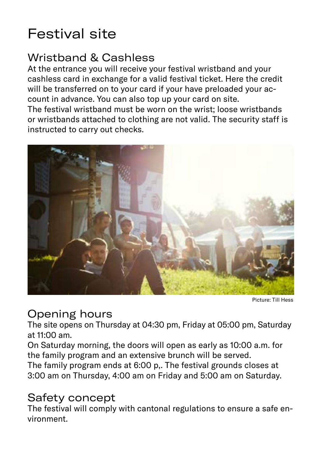## <span id="page-5-0"></span>Festival site

#### Wristband & Cashless

At the entrance you will receive your festival wristband and your cashless card in exchange for a valid festival ticket. Here the credit will be transferred on to your card if your have preloaded your account in advance. You can also top up your card on site.

The festival wristband must be worn on the wrist; loose wristbands or wristbands attached to clothing are not valid. The security staff is instructed to carry out checks.



Picture: Till Hess

#### Opening hours

The site opens on Thursday at 04:30 pm, Friday at 05:00 pm, Saturday at 11:00 am.

On Saturday morning, the doors will open as early as 10:00 a.m. for the family program and an extensive brunch will be served.

The family program ends at 6:00 p,. The festival grounds closes at 3:00 am on Thursday, 4:00 am on Friday and 5:00 am on Saturday.

#### Safety concept

The festival will comply with cantonal regulations to ensure a safe environment.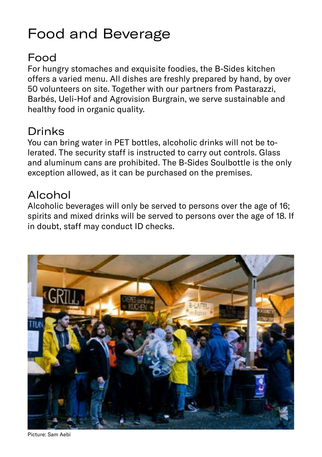## <span id="page-6-0"></span>Food and Beverage

#### Food

For hungry stomaches and exquisite foodies, the B-Sides kitchen offers a varied menu. All dishes are freshly prepared by hand, by over 50 volunteers on site. Together with our partners from Pastarazzi, Barbés, Ueli-Hof and Agrovision Burgrain, we serve sustainable and healthy food in organic quality.

#### Drinks

You can bring water in PET bottles, alcoholic drinks will not be tolerated. The security staff is instructed to carry out controls. Glass and aluminum cans are prohibited. The B-Sides Soulbottle is the only exception allowed, as it can be purchased on the premises.

#### Alcohol

Alcoholic beverages will only be served to persons over the age of 16; spirits and mixed drinks will be served to persons over the age of 18. If in doubt, staff may conduct ID checks.



Picture: Sam Aebi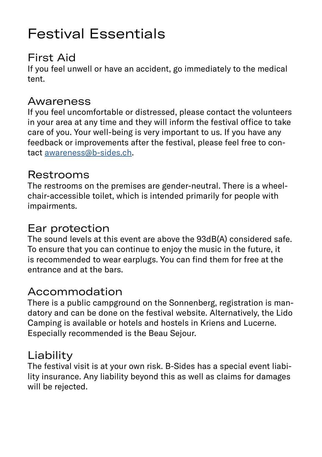## <span id="page-7-0"></span>Festival Essentials

#### First Aid

If you feel unwell or have an accident, go immediately to the medical tent.

#### Awareness

If you feel uncomfortable or distressed, please contact the volunteers in your area at any time and they will inform the festival office to take care of you. Your well-being is very important to us. If you have any feedback or improvements after the festival, please feel free to contact [awareness@b-sides.ch.](mailto:awareness%40b-sides.ch?subject=Inputs%20awareness)

#### Restrooms

The restrooms on the premises are gender-neutral. There is a wheelchair-accessible toilet, which is intended primarily for people with impairments.

#### Ear protection

The sound levels at this event are above the 93dB(A) considered safe. To ensure that you can continue to enjoy the music in the future, it is recommended to wear earplugs. You can find them for free at the entrance and at the bars.

#### Accommodation

There is a public campground on the Sonnenberg, registration is mandatory and can be done on the festival website. Alternatively, the Lido Camping is available or hotels and hostels in Kriens and Lucerne. Especially recommended is the Beau Sejour.

#### Liability

The festival visit is at your own risk. B-Sides has a special event liability insurance. Any liability beyond this as well as claims for damages will be rejected.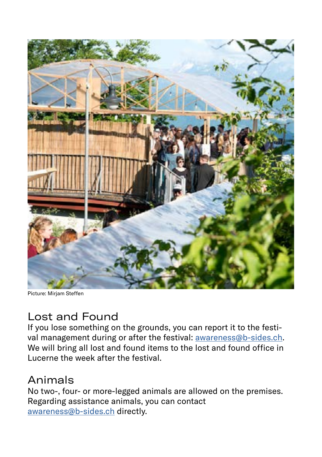<span id="page-8-0"></span>

Picture: Mirjam Steffen

#### Lost and Found

If you lose something on the grounds, you can report it to the festival management during or after the festival: [awareness@b-sides.ch](mailto:awareness%40b-sides.ch?subject=Lost%20and%20Found). We will bring all lost and found items to the lost and found office in Lucerne the week after the festival.

#### Animals

No two-, four- or more-legged animals are allowed on the premises. Regarding assistance animals, you can contact [awareness@b-sides.ch](mailto:awareness%40b-sides.ch?subject=Assistence%20animal) directly.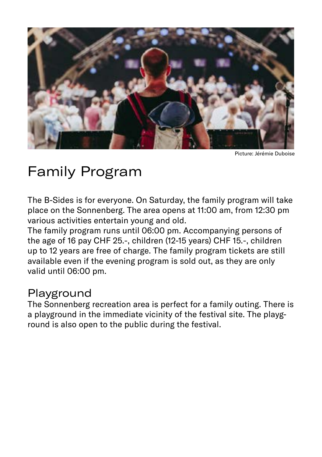<span id="page-9-0"></span>

Picture: Jérémie Duboise

## Family Program

The B-Sides is for everyone. On Saturday, the family program will take place on the Sonnenberg. The area opens at 11:00 am, from 12:30 pm various activities entertain young and old.

The family program runs until 06:00 pm. Accompanying persons of the age of 16 pay CHF 25.-, children (12-15 years) CHF 15.-, children up to 12 years are free of charge. The family program tickets are still available even if the evening program is sold out, as they are only valid until 06:00 pm.

#### Playground

The Sonnenberg recreation area is perfect for a family outing. There is a playground in the immediate vicinity of the festival site. The playground is also open to the public during the festival.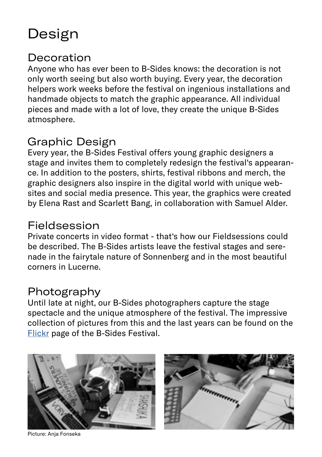## <span id="page-10-0"></span>Design

#### **Decoration**

Anyone who has ever been to B-Sides knows: the decoration is not only worth seeing but also worth buying. Every year, the decoration helpers work weeks before the festival on ingenious installations and handmade objects to match the graphic appearance. All individual pieces and made with a lot of love, they create the unique B-Sides atmosphere.

#### Graphic Design

Every year, the B-Sides Festival offers young graphic designers a stage and invites them to completely redesign the festival's appearance. In addition to the posters, shirts, festival ribbons and merch, the graphic designers also inspire in the digital world with unique websites and social media presence. This year, the graphics were created by Elena Rast and Scarlett Bang, in collaboration with Samuel Alder.

#### Fieldsession

Private concerts in video format - that's how our Fieldsessions could be described. The B-Sides artists leave the festival stages and serenade in the fairytale nature of Sonnenberg and in the most beautiful corners in Lucerne.

#### Photography

Until late at night, our B-Sides photographers capture the stage spectacle and the unique atmosphere of the festival. The impressive collection of pictures from this and the last years can be found on the [Flickr](https://www.flickr.com/photos/148686906@N03/albums) page of the B-Sides Festival.





Picture: Anja Fonseka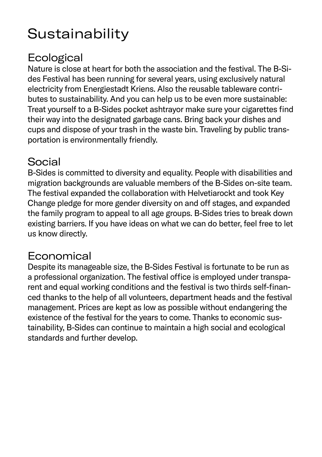## <span id="page-11-0"></span>**Sustainability**

#### **Ecological**

Nature is close at heart for both the association and the festival. The B-Sides Festival has been running for several years, using exclusively natural electricity from Energiestadt Kriens. Also the reusable tableware contributes to sustainability. And you can help us to be even more sustainable: Treat yourself to a B-Sides pocket ashtrayor make sure your cigarettes find their way into the designated garbage cans. Bring back your dishes and cups and dispose of your trash in the waste bin. Traveling by public transportation is environmentally friendly.

#### Social

B-Sides is committed to diversity and equality. People with disabilities and migration backgrounds are valuable members of the B-Sides on-site team. The festival expanded the collaboration with Helvetiarockt and took Key Change pledge for more gender diversity on and off stages, and expanded the family program to appeal to all age groups. B-Sides tries to break down existing barriers. If you have ideas on what we can do better, feel free to let us know directly.

#### Economical

Despite its manageable size, the B-Sides Festival is fortunate to be run as a professional organization. The festival office is employed under transparent and equal working conditions and the festival is two thirds self-financed thanks to the help of all volunteers, department heads and the festival management. Prices are kept as low as possible without endangering the existence of the festival for the years to come. Thanks to economic sustainability, B-Sides can continue to maintain a high social and ecological standards and further develop.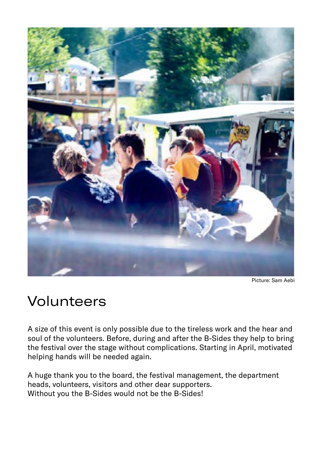<span id="page-12-0"></span>

Picture: Sam Aebi

### Volunteers

A size of this event is only possible due to the tireless work and the hear and soul of the volunteers. Before, during and after the B-Sides they help to bring the festival over the stage without complications. Starting in April, motivated helping hands will be needed again.

A huge thank you to the board, the festival management, the department heads, volunteers, visitors and other dear supporters. Without you the B-Sides would not be the B-Sides!